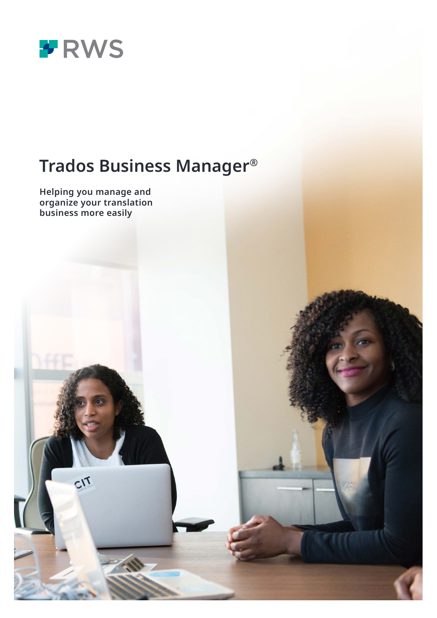

# **Trados Business Manager®**

**Helping you manage and organize your translation** 

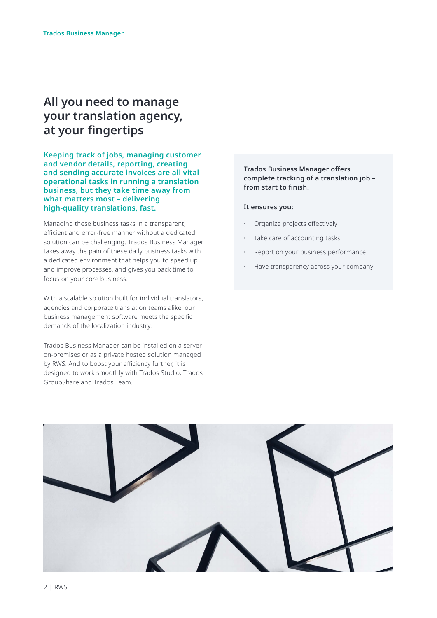# **All you need to manage your translation agency, at your fingertips**

**Keeping track of jobs, managing customer and vendor details, reporting, creating and sending accurate invoices are all vital operational tasks in running a translation business, but they take time away from what matters most – delivering high-quality translations, fast.** 

Managing these business tasks in a transparent, efficient and error-free manner without a dedicated solution can be challenging. Trados Business Manager takes away the pain of these daily business tasks with a dedicated environment that helps you to speed up and improve processes, and gives you back time to focus on your core business.

With a scalable solution built for individual translators, agencies and corporate translation teams alike, our business management software meets the specific demands of the localization industry.

Trados Business Manager can be installed on a server on-premises or as a private hosted solution managed by RWS. And to boost your efficiency further, it is designed to work smoothly with Trados Studio, Trados GroupShare and Trados Team.

#### **Trados Business Manager offers complete tracking of a translation job – from start to finish.**

#### **It ensures you:**

- Organize projects effectively
- Take care of accounting tasks
- Report on your business performance
- Have transparency across your company

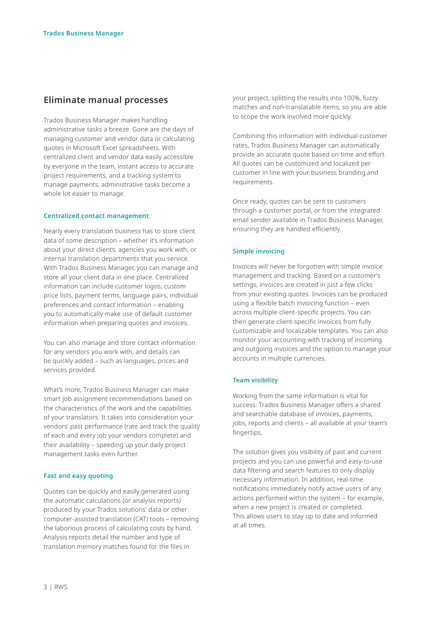# **Eliminate manual processes**

Trados Business Manager makes handling administrative tasks a breeze. Gone are the days of managing customer and vendor data or calculating quotes in Microsoft Excel spreadsheets. With centralized client and vendor data easily accessible by everyone in the team, instant access to accurate project requirements, and a tracking system to manage payments, administrative tasks become a whole lot easier to manage.

#### **Centralized contact management**

Nearly every translation business has to store client data of some description – whether it's information about your direct clients, agencies you work with, or internal translation departments that you service. With Trados Business Manager, you can manage and store all your client data in one place. Centralized information can include customer logos, custom price lists, payment terms, language pairs, individual preferences and contact information – enabling you to automatically make use of default customer information when preparing quotes and invoices.

You can also manage and store contact information for any vendors you work with, and details can be quickly added – such as languages, prices and services provided.

What's more, Trados Business Manager can make smart job assignment recommendations based on the characteristics of the work and the capabilities of your translators. It takes into consideration your vendors' past performance (rate and track the quality of each and every job your vendors complete) and their availability – speeding up your daily project management tasks even further.

#### **Fast and easy quoting**

Quotes can be quickly and easily generated using the automatic calculations (or analysis reports) produced by your Trados solutions' data or other computer-assisted translation (CAT) tools – removing the laborious process of calculating costs by hand. Analysis reports detail the number and type of translation memory matches found for the files in

your project, splitting the results into 100%, fuzzy matches and non-translatable items, so you are able to scope the work involved more quickly.

Combining this information with individual customer rates, Trados Business Manager can automatically provide an accurate quote based on time and effort. All quotes can be customized and localized per customer in line with your business branding and requirements.

Once ready, quotes can be sent to customers through a customer portal, or from the integrated email sender available in Trados Business Manager, ensuring they are handled efficiently.

#### **Simple invoicing**

Invoices will never be forgotten with simple invoice management and tracking. Based on a customer's settings, invoices are created in just a few clicks from your existing quotes. Invoices can be produced using a flexible batch invoicing function – even across multiple client-specific projects. You can then generate client-specific invoices from fully customizable and localizable templates. You can also monitor your accounting with tracking of incoming and outgoing invoices and the option to manage your accounts in multiple currencies.

#### **Team visibility**

Working from the same information is vital for success. Trados Business Manager offers a shared and searchable database of invoices, payments, jobs, reports and clients – all available at your team's fingertips.

The solution gives you visibility of past and current projects and you can use powerful and easy-to-use data filtering and search features to only display necessary information. In addition, real-time notifications immediately notify active users of any actions performed within the system – for example, when a new project is created or completed. This allows users to stay up to date and informed at all times.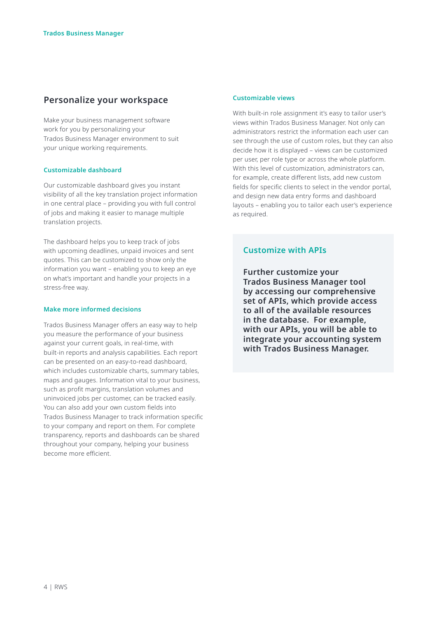# **Personalize your workspace**

Make your business management software work for you by personalizing your Trados Business Manager environment to suit your unique working requirements.

#### **Customizable dashboard**

Our customizable dashboard gives you instant visibility of all the key translation project information in one central place – providing you with full control of jobs and making it easier to manage multiple translation projects.

The dashboard helps you to keep track of jobs with upcoming deadlines, unpaid invoices and sent quotes. This can be customized to show only the information you want – enabling you to keep an eye on what's important and handle your projects in a stress-free way.

#### **Make more informed decisions**

Trados Business Manager offers an easy way to help you measure the performance of your business against your current goals, in real-time, with built-in reports and analysis capabilities. Each report can be presented on an easy-to-read dashboard, which includes customizable charts, summary tables, maps and gauges. Information vital to your business, such as profit margins, translation volumes and uninvoiced jobs per customer, can be tracked easily. You can also add your own custom fields into Trados Business Manager to track information specific to your company and report on them. For complete transparency, reports and dashboards can be shared throughout your company, helping your business become more efficient.

#### **Customizable views**

With built-in role assignment it's easy to tailor user's views within Trados Business Manager. Not only can administrators restrict the information each user can see through the use of custom roles, but they can also decide how it is displayed – views can be customized per user, per role type or across the whole platform. With this level of customization, administrators can, for example, create different lists, add new custom fields for specific clients to select in the vendor portal, and design new data entry forms and dashboard layouts – enabling you to tailor each user's experience as required.

### **Customize with APIs**

**Further customize your Trados Business Manager tool by accessing our comprehensive set of APIs, which provide access to all of the available resources in the database. For example, with our APIs, you will be able to integrate your accounting system with Trados Business Manager.**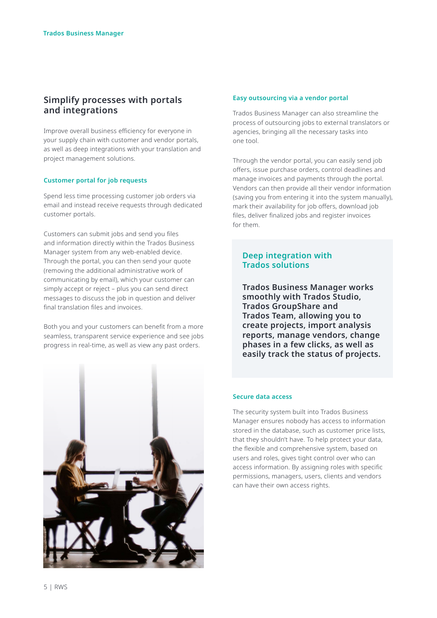# **Simplify processes with portals and integrations**

Improve overall business efficiency for everyone in your supply chain with customer and vendor portals, as well as deep integrations with your translation and project management solutions.

#### **Customer portal for job requests**

Spend less time processing customer job orders via email and instead receive requests through dedicated customer portals.

Customers can submit jobs and send you files and information directly within the Trados Business Manager system from any web-enabled device. Through the portal, you can then send your quote (removing the additional administrative work of communicating by email), which your customer can simply accept or reject – plus you can send direct messages to discuss the job in question and deliver final translation files and invoices.

Both you and your customers can benefit from a more seamless, transparent service experience and see jobs progress in real-time, as well as view any past orders.



#### **Easy outsourcing via a vendor portal**

Trados Business Manager can also streamline the process of outsourcing jobs to external translators or agencies, bringing all the necessary tasks into one tool.

Through the vendor portal, you can easily send job offers, issue purchase orders, control deadlines and manage invoices and payments through the portal. Vendors can then provide all their vendor information (saving you from entering it into the system manually), mark their availability for job offers, download job files, deliver finalized jobs and register invoices for them.

## **Deep integration with Trados solutions**

**Trados Business Manager works smoothly with Trados Studio, Trados GroupShare and Trados Team, allowing you to create projects, import analysis reports, manage vendors, change phases in a few clicks, as well as easily track the status of projects.** 

#### **Secure data access**

The security system built into Trados Business Manager ensures nobody has access to information stored in the database, such as customer price lists, that they shouldn't have. To help protect your data, the flexible and comprehensive system, based on users and roles, gives tight control over who can access information. By assigning roles with specific permissions, managers, users, clients and vendors can have their own access rights.